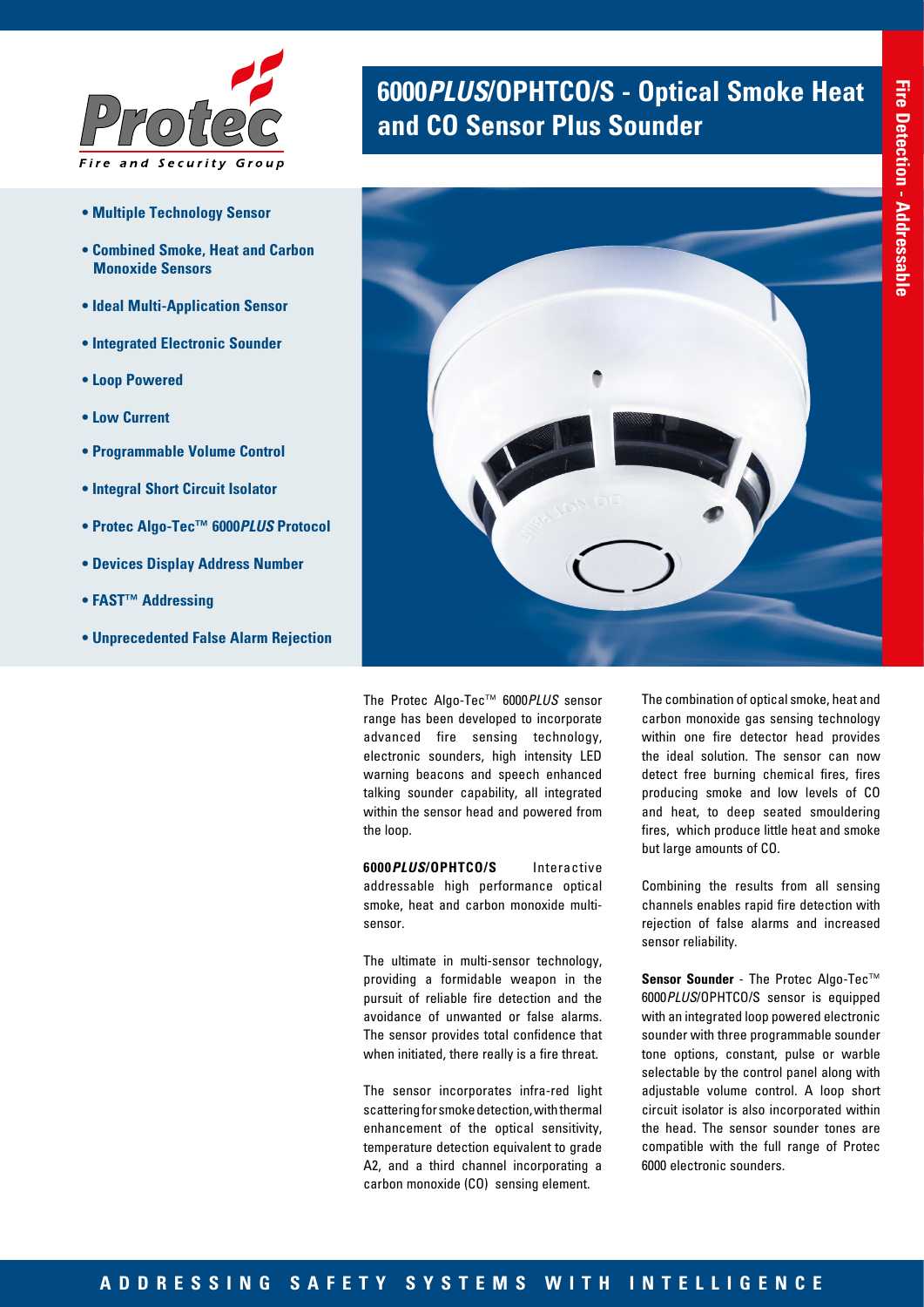

- **Multiple Technology Sensor**
- **Combined Smoke, Heat and Carbon Monoxide Sensors**
- **Ideal Multi-Application Sensor**
- **Integrated Electronic Sounder**
- **Loop Powered**
- **Low Current**
- **Programmable Volume Control**
- **Integral Short Circuit Isolator**
- **Protec Algo-Tec™ 6000***PLUS* **Protocol**
- **Devices Display Address Number**
- **FAST™ Addressing**
- **Unprecedented False Alarm Rejection**

# **6000***PLUS***/OPHTCO/S - Optical Smoke Heat and CO Sensor Plus Sounder**



The Protec Algo-Tec™ 6000*PLUS* sensor range has been developed to incorporate advanced fire sensing technology, electronic sounders, high intensity LED warning beacons and speech enhanced talking sounder capability, all integrated within the sensor head and powered from the loop.

**6000***PLUS***/OPHTCO/S** Interactive addressable high performance optical smoke, heat and carbon monoxide multisensor.

The ultimate in multi-sensor technology, providing a formidable weapon in the pursuit of reliable fire detection and the avoidance of unwanted or false alarms. The sensor provides total confidence that when initiated, there really is a fire threat.

The sensor incorporates infra-red light scattering for smoke detection, with thermal enhancement of the optical sensitivity, temperature detection equivalent to grade A2, and a third channel incorporating a carbon monoxide (CO) sensing element.

The combination of optical smoke, heat and carbon monoxide gas sensing technology within one fire detector head provides the ideal solution. The sensor can now detect free burning chemical fires, fires producing smoke and low levels of CO and heat, to deep seated smouldering fires, which produce little heat and smoke but large amounts of CO.

Combining the results from all sensing channels enables rapid fire detection with rejection of false alarms and increased sensor reliability.

**Sensor Sounder** - The Protec Algo-Tec™ 6000*PLUS*/OPHTCO/S sensor is equipped with an integrated loop powered electronic sounder with three programmable sounder tone options, constant, pulse or warble selectable by the control panel along with adjustable volume control. A loop short circuit isolator is also incorporated within the head. The sensor sounder tones are compatible with the full range of Protec 6000 electronic sounders.